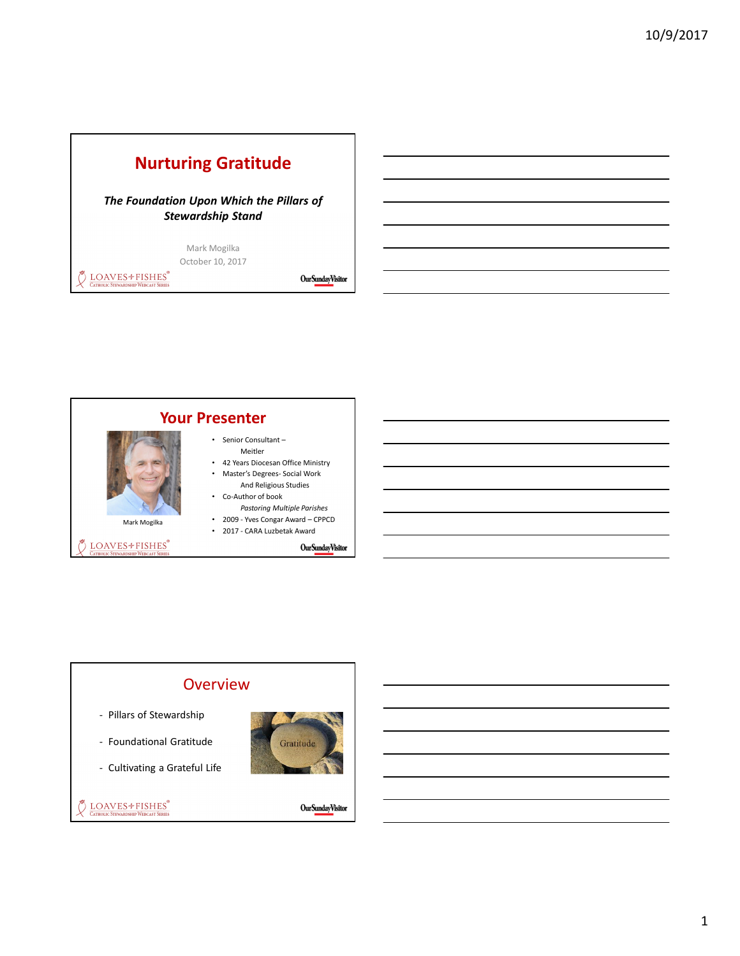# Nurturing Gratitude

The Foundation Upon Which the Pillars of Stewardship Stand

> Mark Mogilka October 10, 2017

 $\bigcirc$  LOAVES \* FISHES

Our Sunday Visitor



#### **Overview**

- Pillars of Stewardship

- Foundational Gratitude
- Cultivating a Grateful Life



DOAVES+FISHES®

 $\pmb{Our \emph{Sunday} \emph{V}\emph{isitor}}$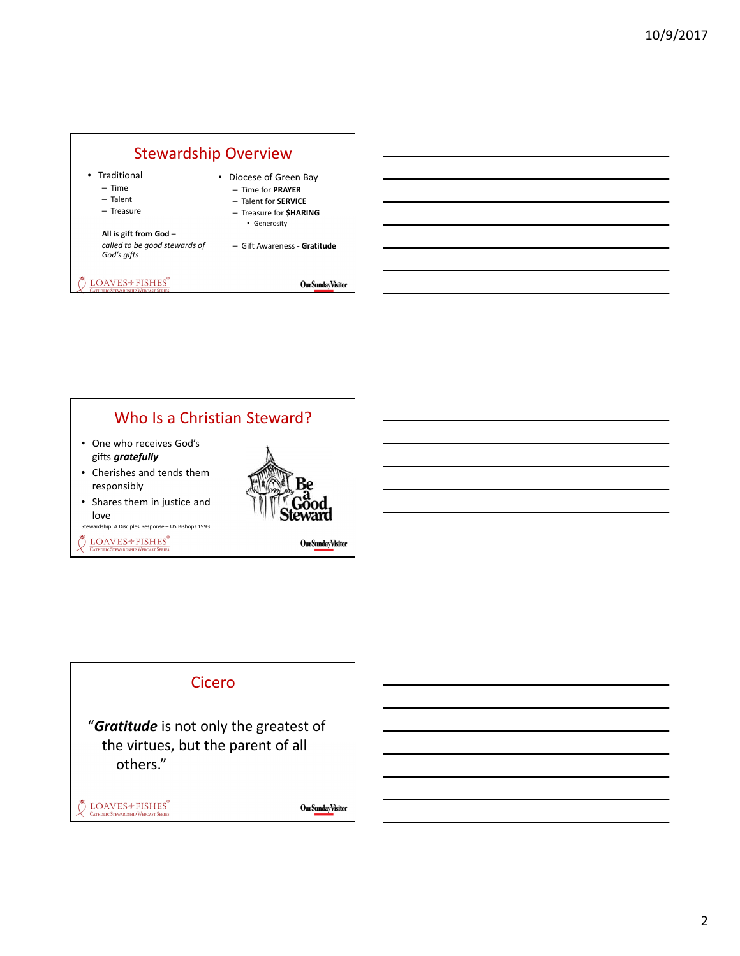

### Who Is a Christian Steward?

- One who receives God's gifts gratefully
- Cherishes and tends them responsibly
- Shares them in justice and love

Stewardship: A Disciples Response – US Bishops 1993

LOAVES+FISHES® Õ **CATHOLIC STEWARDSHIP WEBCAST SERIES** 



 $\pmb{Our \emph{Sunday} \emph{V}\emph{isitor}}$ 

#### Cicero

"Gratitude is not only the greatest of the virtues, but the parent of all others."

LOAVES<sup>+</sup>FISHES<sup>®</sup>

 $\pmb{Our \emph{Sunday} \emph{V}\emph{isitor}}$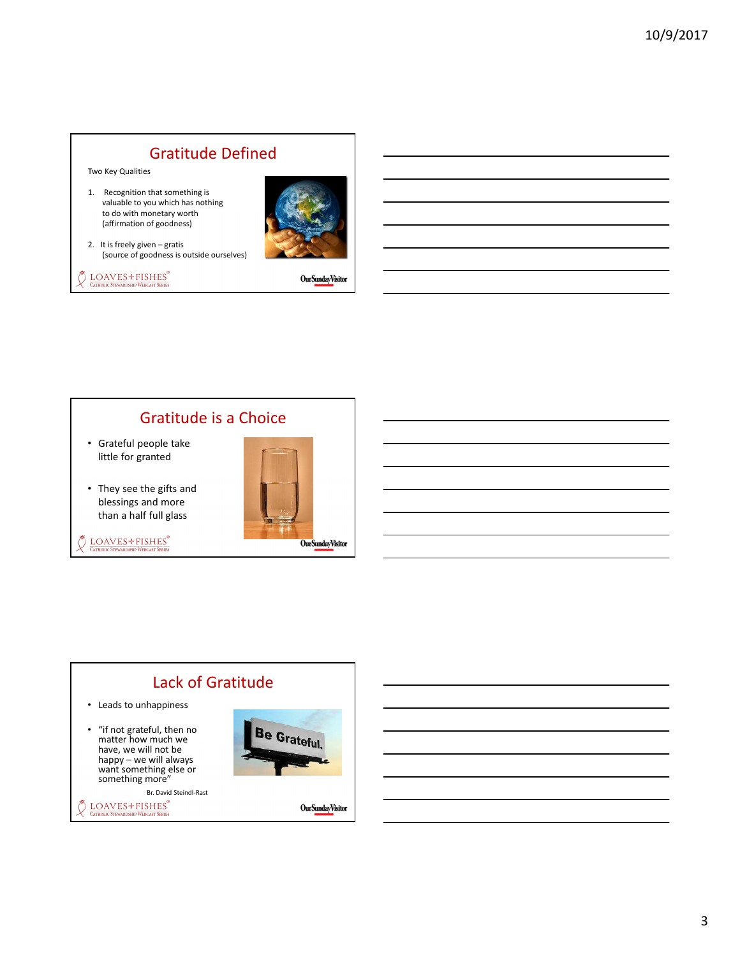### Gratitude Defined

Two Key Qualities

1. Recognition that something is valuable to you which has nothing to do with monetary worth (affirmation of goodness)



2. It is freely given – gratis (source of goodness is outside ourselves)

 $\bigotimes^\infty \;\;\underline{\text{LOAVES}} \text{\# FISHES}^\circ$  Catholic Stewardship Webcast Series

**OurSundayVisitor** 

### Gratitude is a Choice

- Grateful people take little for granted
- They see the gifts and blessings and more than a half full glass
- $\bigotimes^\text{W}\underset{\text{Cattollic StrewaroshhP}\text{Weibcas} }{\text{LOAVES}}\text{+FISHES}^\text{P}$



#### Lack of Gratitude • Leads to unhappiness Be Grateful. • "if not grateful, then no matter how much we have, we will not be happy – we will always want something else or something more" Br. David Steindl-Rast $\stackrel{\text{\tiny def}}{>}$  LOAVES<sup>\*</sup> FISHES  $\pmb{Our \emph{Sunday} \emph{V}\emph{isitor}}$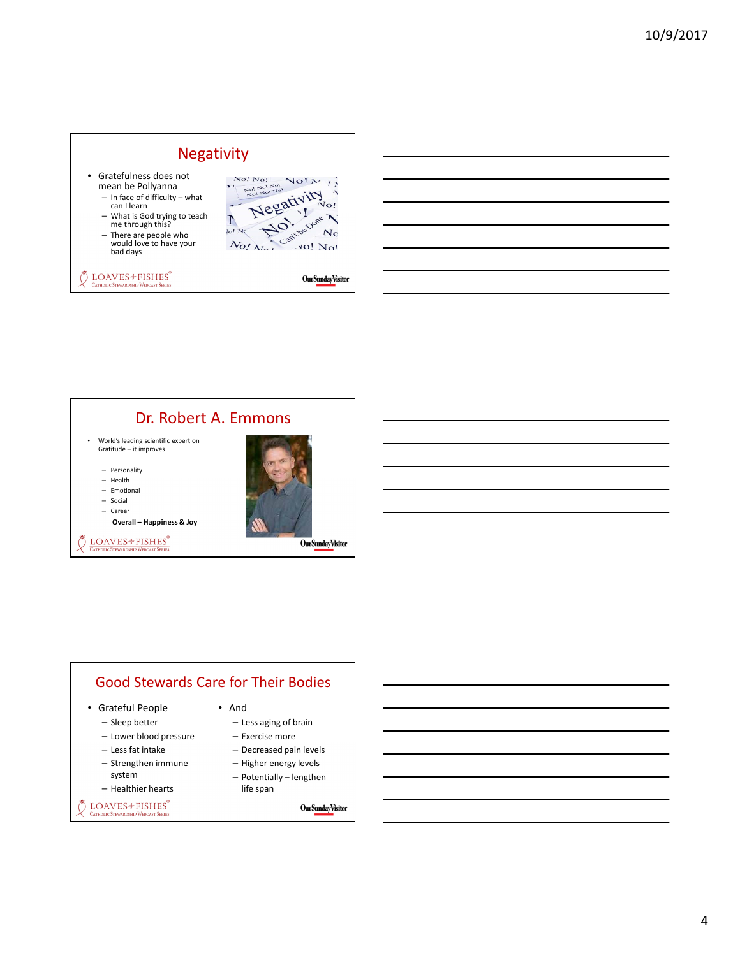### Negativity

- Gratefulness does not mean be Pollyanna
	- In face of difficulty what can I learn
	- What is God trying to teach me through this?
	- There are people who would love to have your bad days

DSHIP WERCAST SERIE

 $\bullet$  LOAVES<sup>+</sup> FISHES<sup>®</sup>



**OurSundayVisitor** 

#### Dr. Robert A. Emmons

• World's leading scientific expert on Gratitude – it improves

– Personality

- Health
- Emotional – Social
- Career

Overall – Happiness & Joy



DOAVES+FISHES® **CATHOLIC STEWARDSHIP WERCAST SERIES** 



- Grateful People
	- Sleep better
	- Lower blood pressure
	- Less fat intake
	- Strengthen immune
	- system
	- Healthier hearts

DOAVES<sup>+</sup>FISHES®

• And

- Less aging of brain
- Exercise more
- Decreased pain levels
- Higher energy levels – Potentially – lengthen
	- life span

 $\ensuremath{\text{Our}\text{Sunday}\text{V}\text{isitor}}$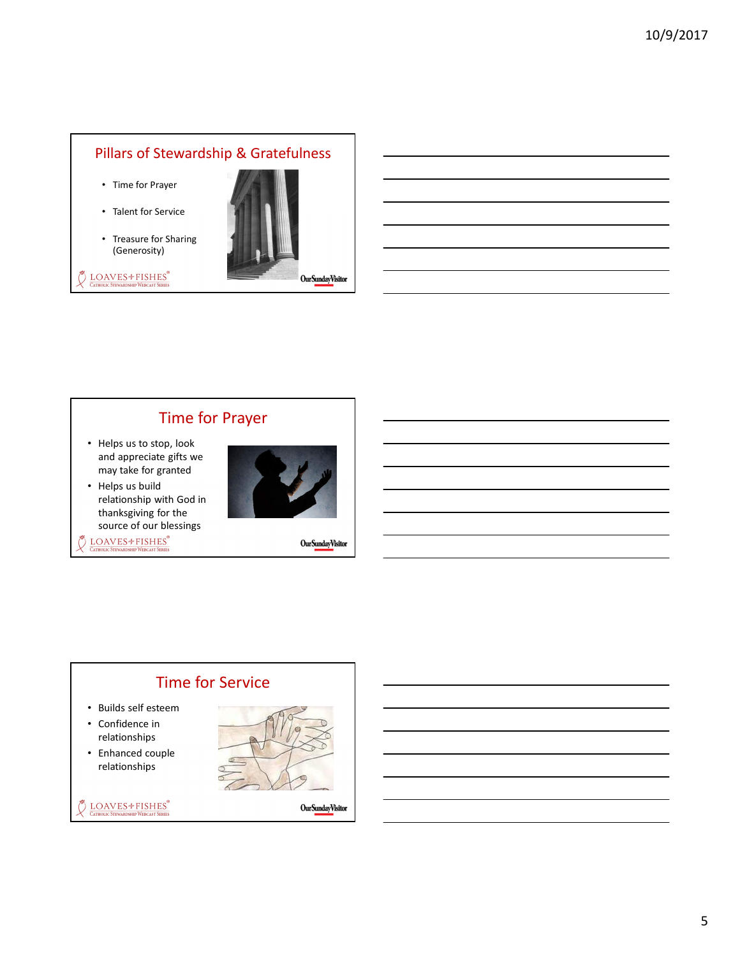#### Pillars of Stewardship & Gratefulness

- Time for Prayer
- Talent for Service
- Treasure for Sharing (Generosity)



LOAVES+FISHES®



# Time for Prayer

- Helps us to stop, look and appreciate gifts we may take for granted
- Helps us build relationship with God in thanksgiving for the source of our blessings
- $\bigotimes^\textsf{W}\underset{\text{Catholic Strwarapship Webcast Series}}{\text{LOAVES}}$



Our Sunday Visitor

### Time for Service

- Builds self esteem
- Confidence in relationships
- Enhanced couple relationships

DOAVES+FISHES®



OurSundayVisitor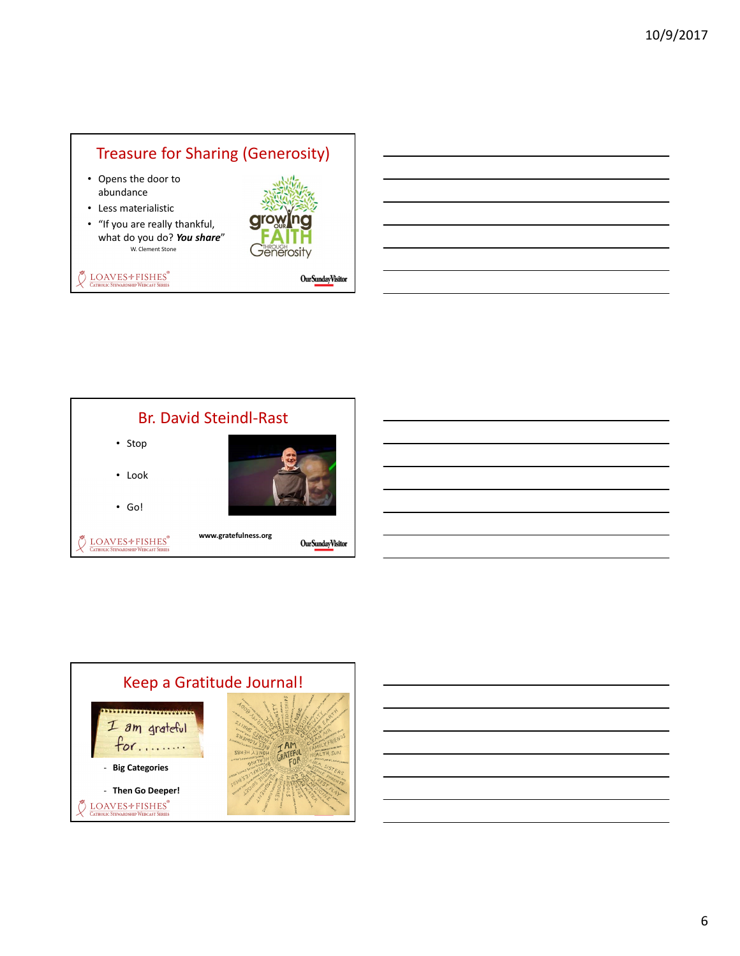### Treasure for Sharing (Generosity)

- Opens the door to abundance
- Less materialistic
- "If you are really thankful, what do you do? You share" W. Clement Stone



 $\bigcirc$  LOAVES  $\bigcirc$  FISHES<sup>®</sup> **HIP WERCAST SERIES** 

**OurSundayVisitor** 



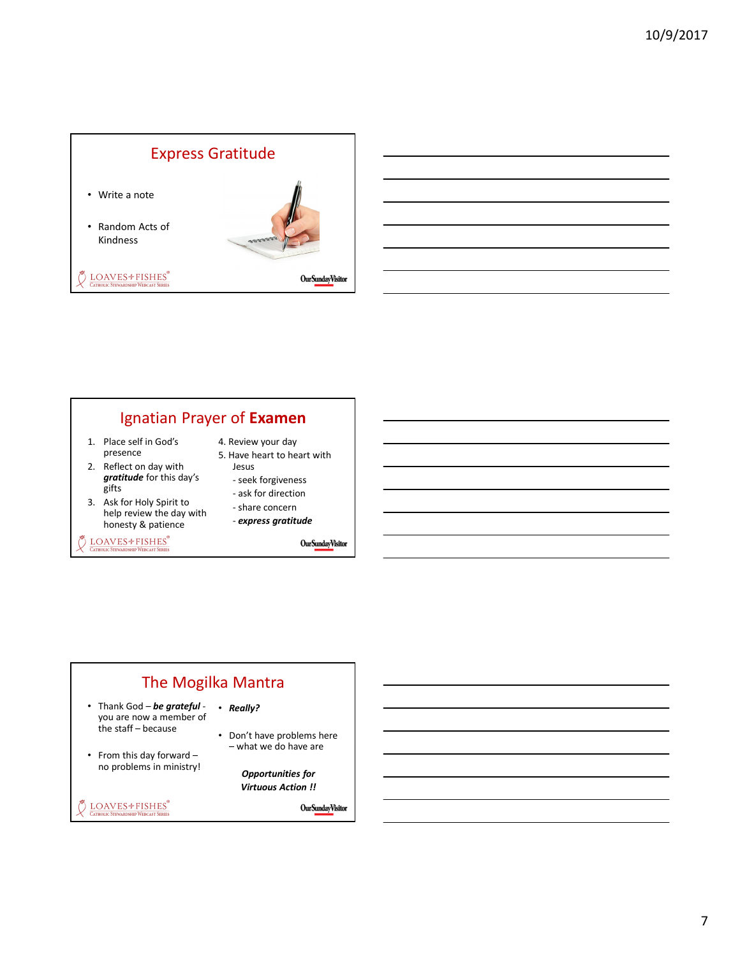### Express Gratitude

- Write a note
- Random Acts of Kindness

DOAVES<sup>+</sup>FISHES®



OurSundayVisitor

### Ignatian Prayer of Examen

- 1. Place self in God's presence
- 2. Reflect on day with gratitude for this day's gifts
- 3. Ask for Holy Spirit to help review the day with honesty & patience

 $\bullet$  LOAVES  $*$  FISHES $^*$ **DSHIP WERCAST SERIES** 

- 4. Review your day
- 5. Have heart to heart with Jesus
	- seek forgiveness - ask for direction
	- share concern
	- express gratitude

**OurSundayVisitor** 

### The Mogilka Mantra • Really?

- Thank God be grateful you are now a member of the staff – because
- From this day forward no problems in ministry!

DOAVES<sup>+</sup>FISHES®

– what we do have are Opportunities for

Virtuous Action !!

• Don't have problems here

Our Sunday Visitor